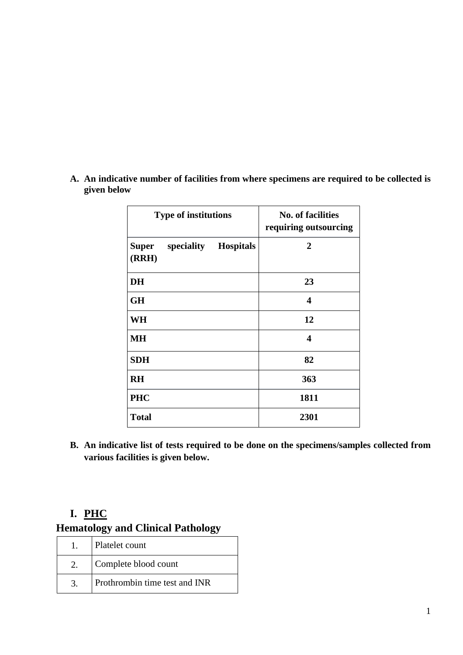| <b>Type of institutions</b>                   | <b>No. of facilities</b><br>requiring outsourcing |
|-----------------------------------------------|---------------------------------------------------|
| <b>Super</b><br>speciality Hospitals<br>(RRH) | $\overline{2}$                                    |
| <b>DH</b>                                     | 23                                                |
| <b>GH</b>                                     | 4                                                 |
| WH                                            | 12                                                |
| <b>MH</b>                                     | $\boldsymbol{4}$                                  |
| <b>SDH</b>                                    | 82                                                |
| <b>RH</b>                                     | 363                                               |
| <b>PHC</b>                                    | 1811                                              |
| <b>Total</b>                                  | 2301                                              |

**A. An indicative number of facilities from where specimens are required to be collected is given below**

**B. An indicative list of tests required to be done on the specimens/samples collected from various facilities is given below.**

#### **I. PHC**

#### **Hematology and Clinical Pathology**

| Platelet count                |
|-------------------------------|
| Complete blood count          |
| Prothrombin time test and INR |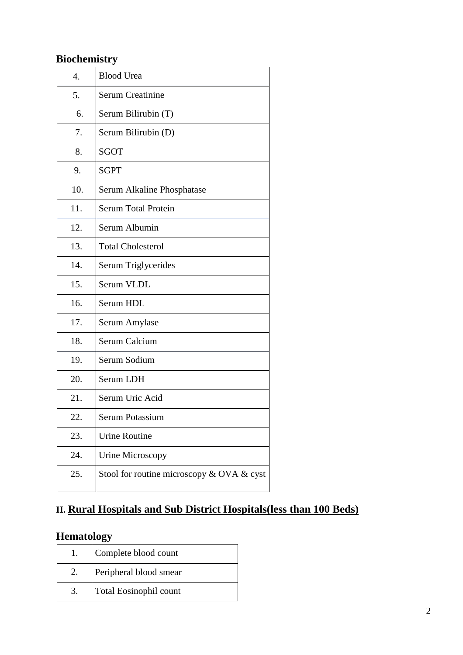## **Biochemistry**

| 4.  | <b>Blood Urea</b>                         |
|-----|-------------------------------------------|
| 5.  | <b>Serum Creatinine</b>                   |
| 6.  | Serum Bilirubin (T)                       |
| 7.  | Serum Bilirubin (D)                       |
| 8.  | <b>SGOT</b>                               |
| 9.  | <b>SGPT</b>                               |
| 10. | Serum Alkaline Phosphatase                |
| 11. | <b>Serum Total Protein</b>                |
| 12. | Serum Albumin                             |
| 13. | <b>Total Cholesterol</b>                  |
| 14. | Serum Triglycerides                       |
| 15. | Serum VLDL                                |
| 16. | Serum HDL                                 |
| 17. | Serum Amylase                             |
| 18. | Serum Calcium                             |
| 19. | Serum Sodium                              |
| 20. | Serum LDH                                 |
| 21. | Serum Uric Acid                           |
| 22. | Serum Potassium                           |
| 23. | <b>Urine Routine</b>                      |
| 24. | Urine Microscopy                          |
| 25. | Stool for routine microscopy & OVA & cyst |

## **II. Rural Hospitals and Sub District Hospitals(less than 100 Beds)**

## **Hematology**

| Complete blood count          |
|-------------------------------|
| Peripheral blood smear        |
| <b>Total Eosinophil count</b> |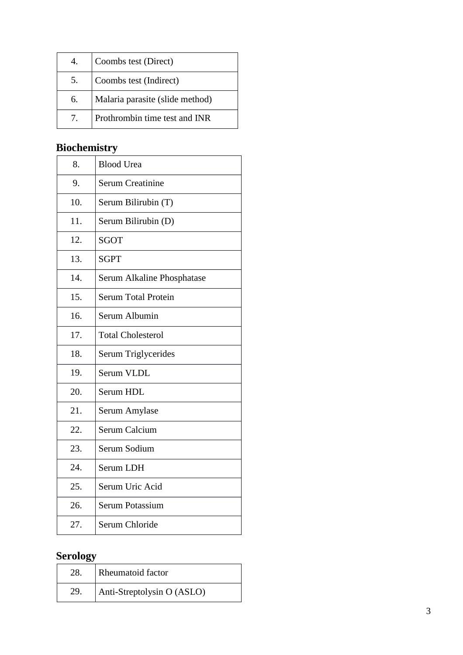|    | Coombs test (Direct)            |
|----|---------------------------------|
|    | Coombs test (Indirect)          |
| 6. | Malaria parasite (slide method) |
|    | Prothrombin time test and INR   |

## **Biochemistry**

| 8.  | <b>Blood Urea</b>          |
|-----|----------------------------|
| 9.  | <b>Serum Creatinine</b>    |
| 10. | Serum Bilirubin (T)        |
| 11. | Serum Bilirubin (D)        |
| 12. | <b>SGOT</b>                |
| 13. | <b>SGPT</b>                |
| 14. | Serum Alkaline Phosphatase |
| 15. | <b>Serum Total Protein</b> |
| 16. | Serum Albumin              |
| 17. | <b>Total Cholesterol</b>   |
| 18. | Serum Triglycerides        |
| 19. | Serum VLDL                 |
| 20. | Serum HDL                  |
| 21. | Serum Amylase              |
| 22. | <b>Serum Calcium</b>       |
| 23. | Serum Sodium               |
| 24. | Serum LDH                  |
| 25. | Serum Uric Acid            |
| 26. | Serum Potassium            |
| 27. | Serum Chloride             |

## **Serology**

| 28. | <b>Rheumatoid factor</b>   |
|-----|----------------------------|
| 29. | Anti-Streptolysin O (ASLO) |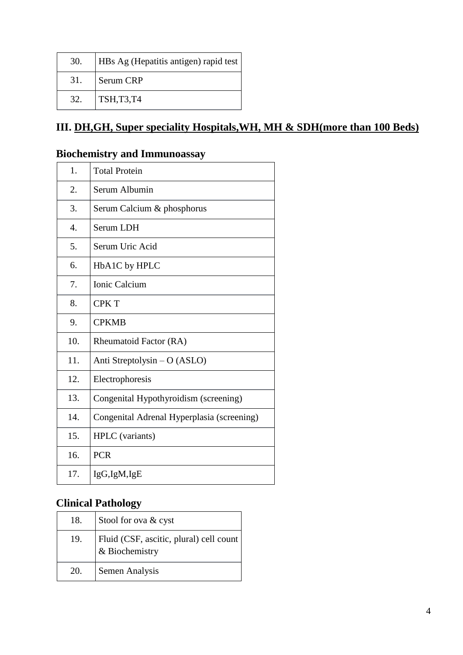| 30. | <b>HBs</b> Ag (Hepatitis antigen) rapid test |
|-----|----------------------------------------------|
| 31. | Serum CRP                                    |
| 32. | TSH, T3, T4                                  |

## **III. DH,GH, Super speciality Hospitals,WH, MH & SDH(more than 100 Beds)**

### **Biochemistry and Immunoassay**

| 1.  | <b>Total Protein</b>                       |
|-----|--------------------------------------------|
| 2.  | Serum Albumin                              |
| 3.  | Serum Calcium & phosphorus                 |
| 4.  | Serum LDH                                  |
| 5.  | Serum Uric Acid                            |
| 6.  | HbA1C by HPLC                              |
| 7.  | Ionic Calcium                              |
| 8.  | <b>CPKT</b>                                |
| 9.  | <b>CPKMB</b>                               |
| 10. | Rheumatoid Factor (RA)                     |
| 11. | Anti Streptolysin $- O (ASLO)$             |
| 12. | Electrophoresis                            |
| 13. | Congenital Hypothyroidism (screening)      |
| 14. | Congenital Adrenal Hyperplasia (screening) |
| 15. | HPLC (variants)                            |
| 16. | <b>PCR</b>                                 |
| 17. | IgG,IgM,IgE                                |

### **Clinical Pathology**

| 18. | Stool for ova & cyst                                      |
|-----|-----------------------------------------------------------|
| 19. | Fluid (CSF, ascitic, plural) cell count<br>& Biochemistry |
| 20. | Semen Analysis                                            |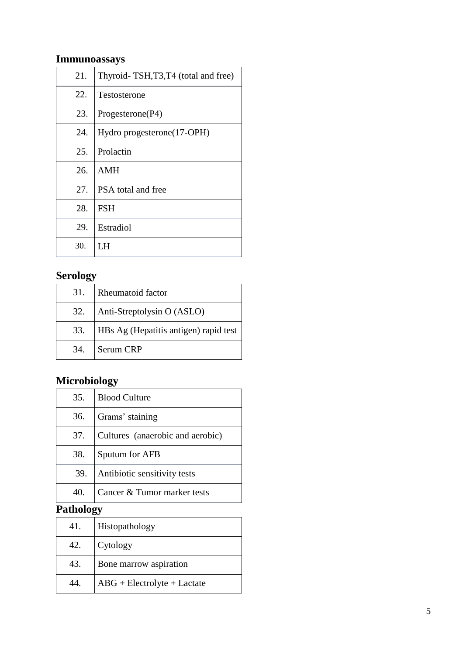## **Immunoassays**

| 21. | Thyroid-TSH,T3,T4 (total and free) |
|-----|------------------------------------|
| 22. | Testosterone                       |
| 23. | Progesterone(P4)                   |
| 24. | Hydro progesterone(17-OPH)         |
| 25. | Prolactin                          |
| 26. | AMH                                |
| 27. | PSA total and free                 |
| 28. | <b>FSH</b>                         |
| 29. | Estradiol                          |
| 30. | I H                                |

### **Serology**

| 31. | <b>Rheumatoid factor</b>              |
|-----|---------------------------------------|
| 32. | Anti-Streptolysin O (ASLO)            |
| 33. | HBs Ag (Hepatitis antigen) rapid test |
|     | 34. Serum CRP                         |

## **Microbiology**

| 35.                   | <b>Blood Culture</b>             |  |
|-----------------------|----------------------------------|--|
|                       |                                  |  |
| 36.                   | Grams' staining                  |  |
| 37.                   | Cultures (anaerobic and aerobic) |  |
| 38.                   | Sputum for AFB                   |  |
| 39.                   | Antibiotic sensitivity tests     |  |
| 40.                   | Cancer & Tumor marker tests      |  |
| athala <del>a</del> v |                                  |  |

#### **Pathology**

| 41. | Histopathology                |
|-----|-------------------------------|
| 42. | Cytology                      |
| 43. | Bone marrow aspiration        |
|     | $ABG + Electrolyte + Lactate$ |